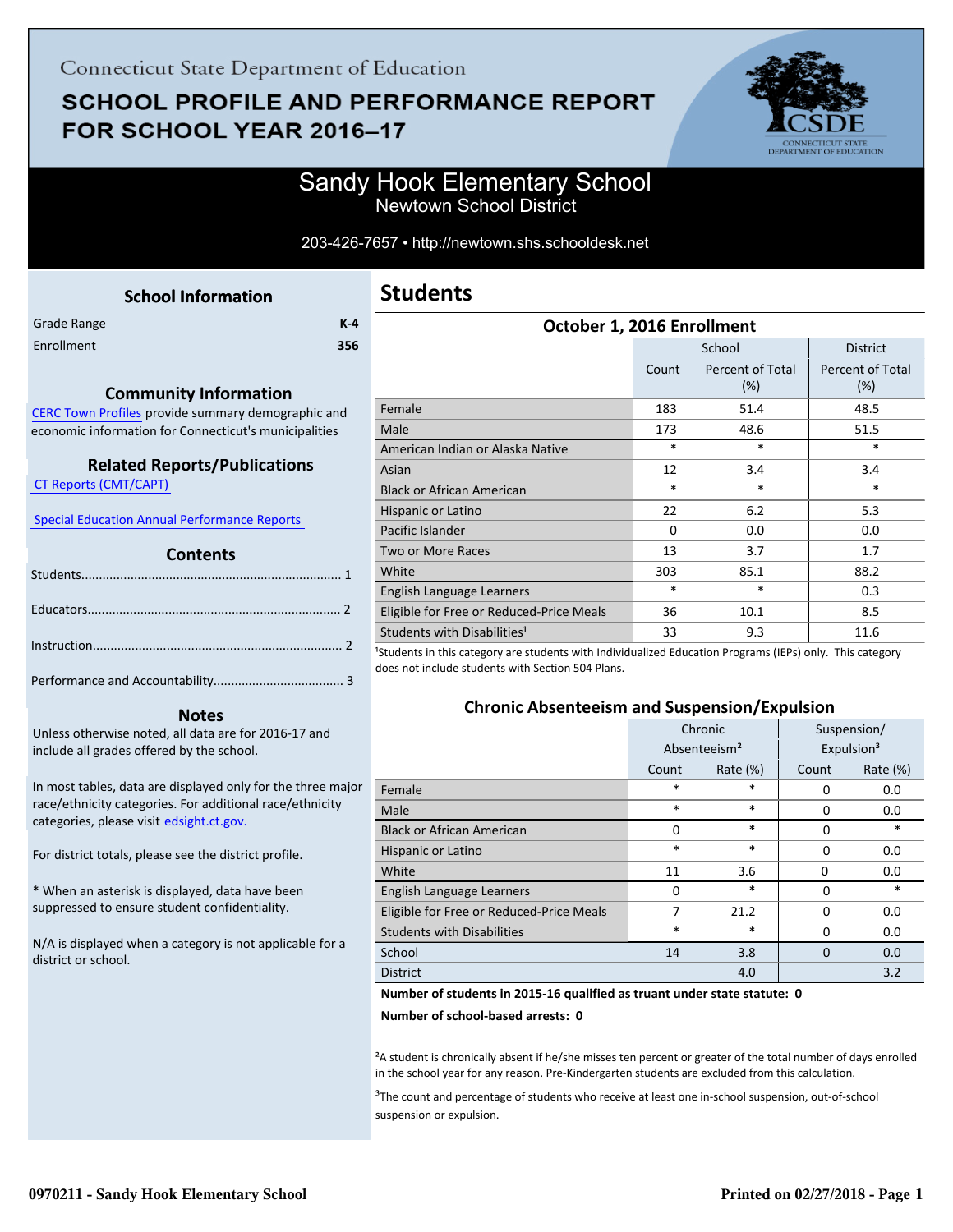# **SCHOOL PROFILE AND PERFORMANCE REPORT** FOR SCHOOL YEAR 2016-17



### Sandy Hook Elementary School Newtown School District

#### 203-426-7657 • http://newtown.shs.schooldesk.net

| <b>School Information</b> |  |
|---------------------------|--|
|---------------------------|--|

<span id="page-0-0"></span>

| Grade Range | $K-4$ |
|-------------|-------|
| Enrollment  | 356   |

#### **Community Information**

[CERC Town Profiles provide summary demographic and](http://www.cerc.com/townprofiles/) economic information for Connecticut's municipalities

#### **Related Reports/Publications**

 [CT Reports \(CMT/CAPT\)](http://ctreports.com/) 

 [Special Education Annual Performance Reports](http://edsight.ct.gov/SASPortal/main.do) 

#### **Contents**

#### **Notes**

Unless otherwise noted, all data are for 2016-17 and include all grades offered by the school.

[In most tables, data are displayed only for the three major](http://edsight.ct.gov/) race/ethnicity categories. For additional race/ethnicity categories, please visit edsight.ct.gov.

For district totals, please see the district profile.

\* When an asterisk is displayed, data have been suppressed to ensure student confidentiality.

N/A is displayed when a category is not applicable for a district or school.

| <b>Students</b> |  |
|-----------------|--|
|-----------------|--|

| October 1, 2016 Enrollment               |          |                            |                                |
|------------------------------------------|----------|----------------------------|--------------------------------|
|                                          |          | School                     | <b>District</b>                |
|                                          | Count    | Percent of Total<br>$(\%)$ | <b>Percent of Total</b><br>(%) |
| Female                                   | 183      | 51.4                       | 48.5                           |
| Male                                     | 173      | 48.6                       | 51.5                           |
| American Indian or Alaska Native         | $\ast$   | *                          | *                              |
| Asian                                    | 12       | 3.4                        | 3.4                            |
| <b>Black or African American</b>         | $\ast$   | $\ast$                     | $\ast$                         |
| Hispanic or Latino                       | 22       | 6.2                        | 5.3                            |
| Pacific Islander                         | $\Omega$ | 0.0                        | 0.0                            |
| <b>Two or More Races</b>                 | 13       | 3.7                        | 1.7                            |
| White                                    | 303      | 85.1                       | 88.2                           |
| English Language Learners                | $\ast$   | $\ast$                     | 0.3                            |
| Eligible for Free or Reduced-Price Meals | 36       | 10.1                       | 8.5                            |
| Students with Disabilities <sup>1</sup>  | 33       | 9.3                        | 11.6<br>$\lambda$              |

<sup>1</sup>Students in this category are students with Individualized Education Programs (IEPs) only. This category does not include students with Section 504 Plans.

#### **Chronic Absenteeism and Suspension/Expulsion**

|                                          | Chronic                  |             | Suspension/            |          |
|------------------------------------------|--------------------------|-------------|------------------------|----------|
|                                          | Absenteeism <sup>2</sup> |             | Expulsion <sup>3</sup> |          |
|                                          | Count                    | Rate $(\%)$ | Count                  | Rate (%) |
| Female                                   | *                        | $\ast$      | 0                      | 0.0      |
| Male                                     | *                        | $\ast$      | 0                      | 0.0      |
| <b>Black or African American</b>         | $\Omega$                 | $\ast$      | $\Omega$               | $\ast$   |
| Hispanic or Latino                       | *                        | $\ast$      | 0                      | 0.0      |
| White                                    | 11                       | 3.6         | O                      | 0.0      |
| English Language Learners                | 0                        | $\ast$      | 0                      | *        |
| Eligible for Free or Reduced-Price Meals | 7                        | 21.2        | 0                      | 0.0      |
| <b>Students with Disabilities</b>        | $\ast$                   | $\ast$      | $\Omega$               | 0.0      |
| School                                   | 14                       | 3.8         | $\Omega$               | 0.0      |
| <b>District</b>                          |                          | 4.0         |                        | 3.2      |

#### **Number of students in 2015-16 qualified as truant under state statute: 0**

**Number of school-based arrests: 0**

²A student is chronically absent if he/she misses ten percent or greater of the total number of days enrolled in the school year for any reason. Pre-Kindergarten students are excluded from this calculation.

<sup>3</sup>The count and percentage of students who receive at least one in-school suspension, out-of-school suspension or expulsion.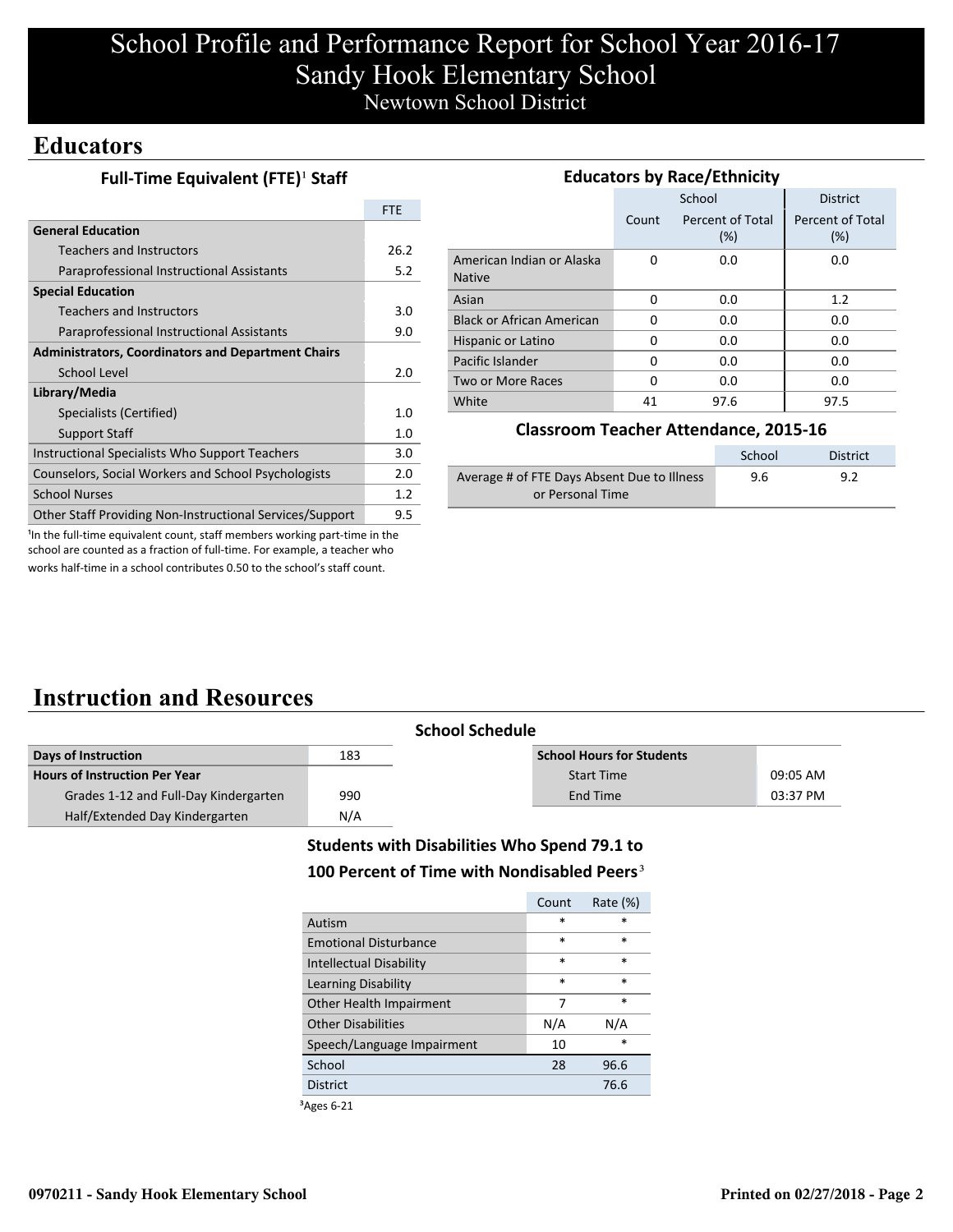# School Profile and Performance Report for School Year 2016-17 Sandy Hook Elementary School Newtown School District

### **Educators**

|  | Full-Time Equivalent (FTE) <sup>1</sup> Staff |  |
|--|-----------------------------------------------|--|
|--|-----------------------------------------------|--|

|                                                           | <b>FTE</b> |
|-----------------------------------------------------------|------------|
| <b>General Education</b>                                  |            |
| <b>Teachers and Instructors</b>                           | 26.2       |
| Paraprofessional Instructional Assistants                 | 5.2        |
| <b>Special Education</b>                                  |            |
| Teachers and Instructors                                  | 3.0        |
| Paraprofessional Instructional Assistants                 | 9.0        |
| <b>Administrators, Coordinators and Department Chairs</b> |            |
| School Level                                              | 2.0        |
| Library/Media                                             |            |
| Specialists (Certified)                                   | 1.0        |
| <b>Support Staff</b>                                      | 1.0        |
| Instructional Specialists Who Support Teachers            | 3.0        |
| Counselors, Social Workers and School Psychologists       | 2.0        |
| <b>School Nurses</b>                                      | 1.2        |
| Other Staff Providing Non-Instructional Services/Support  | 9.5        |

| <b>Educators by Race/Ethnicity</b>         |                                  |        |                                |  |
|--------------------------------------------|----------------------------------|--------|--------------------------------|--|
|                                            |                                  | School | <b>District</b>                |  |
|                                            | Percent of Total<br>Count<br>(%) |        | <b>Percent of Total</b><br>(%) |  |
| American Indian or Alaska<br><b>Native</b> | 0                                | 0.0    | 0.0                            |  |
| Asian                                      | 0                                | 0.0    | 1.2                            |  |
| <b>Black or African American</b>           | O                                | 0.0    | 0.0                            |  |
| Hispanic or Latino                         | 0                                | 0.0    | 0.0                            |  |
| Pacific Islander                           | 0                                | 0.0    | 0.0                            |  |
| Two or More Races                          | 0                                | 0.0    | 0.0                            |  |
| White                                      | 41                               | 97.6   | 97.5                           |  |

#### **Classroom Teacher Attendance, 2015-16**

|                                             | School | <b>District</b> |
|---------------------------------------------|--------|-----------------|
| Average # of FTE Days Absent Due to Illness | 9.6    | 9.2             |
| or Personal Time                            |        |                 |

<sup>1</sup>In the full-time equivalent count, staff members working part-time in the school are counted as a fraction of full-time. For example, a teacher who works half-time in a school contributes 0.50 to the school's staff count.

## **Instruction and Resources**

|                                       |     | <b>School Schedule</b>           |          |
|---------------------------------------|-----|----------------------------------|----------|
| Days of Instruction                   | 183 | <b>School Hours for Students</b> |          |
| <b>Hours of Instruction Per Year</b>  |     | <b>Start Time</b>                | 09:05 AM |
| Grades 1-12 and Full-Day Kindergarten | 990 | End Time                         | 03:37 PM |
| Half/Extended Day Kindergarten        | N/A |                                  |          |

### **Students with Disabilities Who Spend 79.1 to** 100 Percent of Time with Nondisabled Peers<sup>3</sup>

|                                | Count  | Rate $(\%)$ |
|--------------------------------|--------|-------------|
| Autism                         | $\ast$ | *           |
| <b>Emotional Disturbance</b>   | $\ast$ | $\ast$      |
| <b>Intellectual Disability</b> | $\ast$ | $\ast$      |
| Learning Disability            | $\ast$ | $\ast$      |
| Other Health Impairment        | 7      | $\ast$      |
| <b>Other Disabilities</b>      | N/A    | N/A         |
| Speech/Language Impairment     | 10     | $\ast$      |
| School                         | 28     | 96.6        |
| <b>District</b>                |        | 76.6        |
|                                |        |             |

³Ages 6-21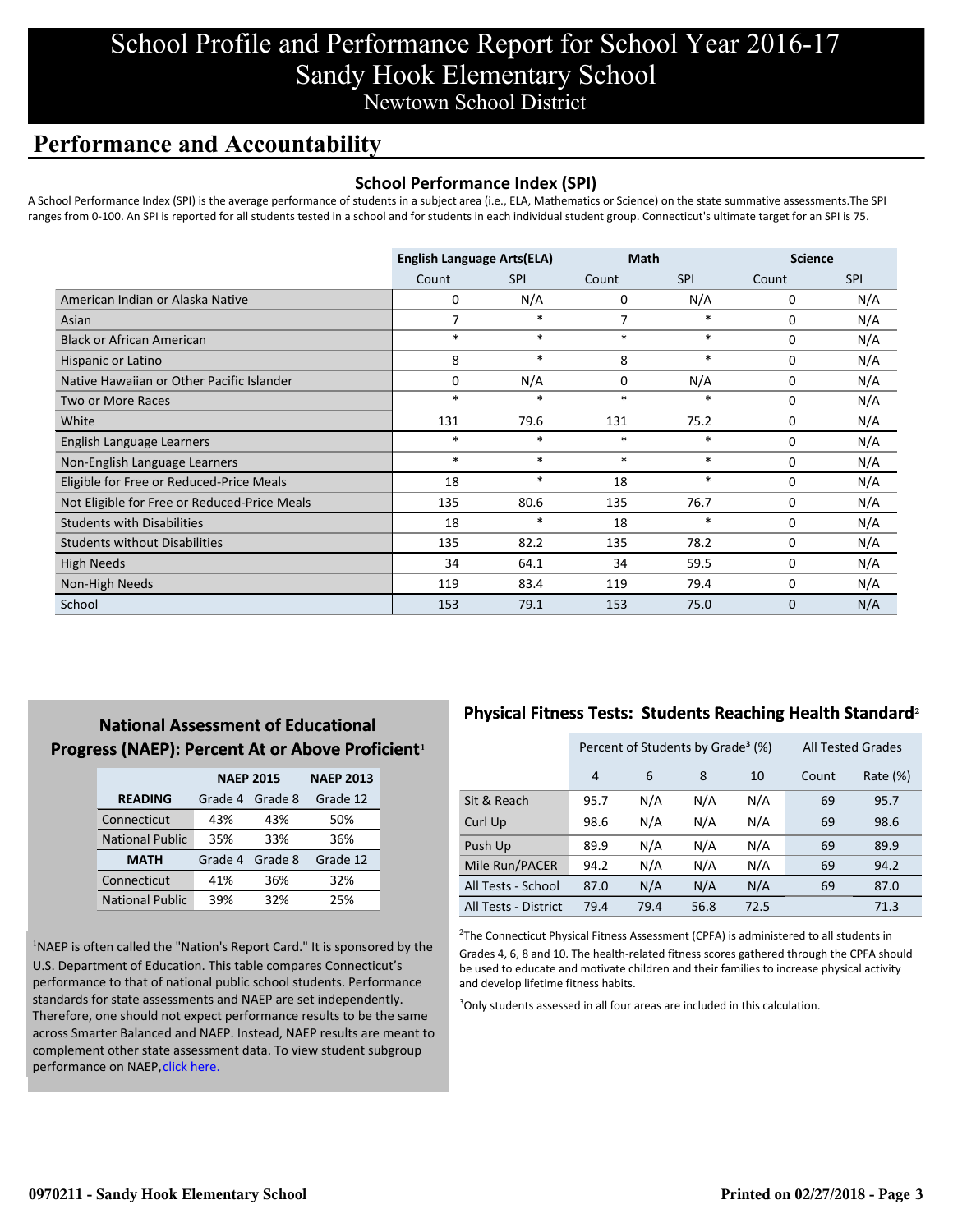## School Profile and Performance Report for School Year 2016-17 Sandy Hook Elementary School Newtown School District

## **Performance and Accountability**

### **School Performance Index (SPI)**

A School Performance Index (SPI) is the average performance of students in a subject area (i.e., ELA, Mathematics or Science) on the state summative assessments.The SPI ranges from 0-100. An SPI is reported for all students tested in a school and for students in each individual student group. Connecticut's ultimate target for an SPI is 75.

|                                              | <b>English Language Arts(ELA)</b> |            | <b>Math</b> |            | <b>Science</b> |            |
|----------------------------------------------|-----------------------------------|------------|-------------|------------|----------------|------------|
|                                              | Count                             | <b>SPI</b> | Count       | <b>SPI</b> | Count          | <b>SPI</b> |
| American Indian or Alaska Native             | 0                                 | N/A        | 0           | N/A        | 0              | N/A        |
| Asian                                        | 7                                 | $\ast$     | 7           | *          | 0              | N/A        |
| <b>Black or African American</b>             | $\ast$                            | $\ast$     | $\ast$      | $\ast$     | 0              | N/A        |
| Hispanic or Latino                           | 8                                 | $\ast$     | 8           | $\ast$     | 0              | N/A        |
| Native Hawaiian or Other Pacific Islander    | 0                                 | N/A        | $\mathbf 0$ | N/A        | $\mathbf 0$    | N/A        |
| Two or More Races                            | $\ast$                            | $\ast$     | $\ast$      | *          | 0              | N/A        |
| White                                        | 131                               | 79.6       | 131         | 75.2       | 0              | N/A        |
| English Language Learners                    | $\ast$                            | $\ast$     | $\ast$      | $\ast$     | 0              | N/A        |
| Non-English Language Learners                | $\ast$                            | $\ast$     | $\ast$      | $\ast$     | 0              | N/A        |
| Eligible for Free or Reduced-Price Meals     | 18                                | $\ast$     | 18          | $\ast$     | 0              | N/A        |
| Not Eligible for Free or Reduced-Price Meals | 135                               | 80.6       | 135         | 76.7       | $\mathbf 0$    | N/A        |
| <b>Students with Disabilities</b>            | 18                                | $\ast$     | 18          | $\ast$     | $\mathbf 0$    | N/A        |
| <b>Students without Disabilities</b>         | 135                               | 82.2       | 135         | 78.2       | 0              | N/A        |
| <b>High Needs</b>                            | 34                                | 64.1       | 34          | 59.5       | 0              | N/A        |
| Non-High Needs                               | 119                               | 83.4       | 119         | 79.4       | 0              | N/A        |
| School                                       | 153                               | 79.1       | 153         | 75.0       | 0              | N/A        |

### **National Assessment of Educational Progress (NAEP): Percent At or Above Proficient1**

|                        | <b>NAEP 2015</b> |         | <b>NAEP 2013</b> |  |
|------------------------|------------------|---------|------------------|--|
| <b>READING</b>         | Grade 4          | Grade 8 | Grade 12         |  |
| Connecticut            | 43%              | 43%     | 50%              |  |
| <b>National Public</b> | 35%              | 33%     | 36%              |  |
| <b>MATH</b>            | Grade 4          | Grade 8 | Grade 12         |  |
| Connecticut            | 41%              | 36%     | 32%              |  |
| <b>National Public</b> | 39%              | 32%     | 25%              |  |

<sup>1</sup>NAEP is often called the "Nation's Report Card." It is sponsored by the U.S. Department of Education. This table compares Connecticut's performance to that of national public school students. Performance standards for state assessments and NAEP are set independently. Therefore, one should not expect performance results to be the same [across Smarter Balanced and NAEP. Instead, NAEP results are meant to](http://portal.ct.gov/-/media/SDE/Student-Assessment/NAEP/ct_naep_2015_results_by_performance_level.pdf?la=en) complement other state assessment data. To view student subgroup performance on NAEP, click here.

### **Physical Fitness Tests: Students Reaching Health Standard**²

|                      |                | Percent of Students by Grade <sup>3</sup> (%) |      | <b>All Tested Grades</b> |       |          |
|----------------------|----------------|-----------------------------------------------|------|--------------------------|-------|----------|
|                      | $\overline{4}$ | 6                                             | 8    | 10                       | Count | Rate (%) |
| Sit & Reach          | 95.7           | N/A                                           | N/A  | N/A                      | 69    | 95.7     |
| Curl Up              | 98.6           | N/A                                           | N/A  | N/A                      | 69    | 98.6     |
| Push Up              | 89.9           | N/A                                           | N/A  | N/A                      | 69    | 89.9     |
| Mile Run/PACER       | 94.2           | N/A                                           | N/A  | N/A                      | 69    | 94.2     |
| All Tests - School   | 87.0           | N/A                                           | N/A  | N/A                      | 69    | 87.0     |
| All Tests - District | 79.4           | 79.4                                          | 56.8 | 72.5                     |       | 71.3     |

 $2$ The Connecticut Physical Fitness Assessment (CPFA) is administered to all students in Grades 4, 6, 8 and 10. The health-related fitness scores gathered through the CPFA should be used to educate and motivate children and their families to increase physical activity and develop lifetime fitness habits.

<sup>3</sup>Only students assessed in all four areas are included in this calculation.